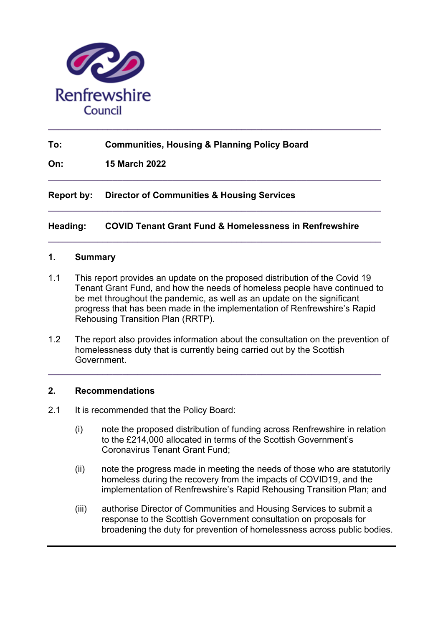

# **To: Communities, Housing & Planning Policy Board**

**On: 15 March 2022**

**Report by: Director of Communities & Housing Services**

#### **Heading: COVID Tenant Grant Fund & Homelessness in Renfrewshire**

**\_\_\_\_\_\_\_\_\_\_\_\_\_\_\_\_\_\_\_\_\_\_\_\_\_\_\_\_\_\_\_\_\_\_\_\_\_\_\_\_\_\_\_\_\_\_\_\_\_\_\_\_\_\_\_\_\_\_\_\_\_\_\_\_\_\_\_** 

**\_\_\_\_\_\_\_\_\_\_\_\_\_\_\_\_\_\_\_\_\_\_\_\_\_\_\_\_\_\_\_\_\_\_\_\_\_\_\_\_\_\_\_\_\_\_\_\_\_\_\_\_\_\_\_\_\_\_\_\_\_\_\_\_\_\_\_** 

**\_\_\_\_\_\_\_\_\_\_\_\_\_\_\_\_\_\_\_\_\_\_\_\_\_\_\_\_\_\_\_\_\_\_\_\_\_\_\_\_\_\_\_\_\_\_\_\_\_\_\_\_\_\_\_\_\_\_\_\_\_\_\_\_\_\_\_** 

**\_\_\_\_\_\_\_\_\_\_\_\_\_\_\_\_\_\_\_\_\_\_\_\_\_\_\_\_\_\_\_\_\_\_\_\_\_\_\_\_\_\_\_\_\_\_\_\_\_\_\_\_\_\_\_\_\_\_\_\_\_\_\_\_\_\_\_** 

### **1. Summary**

- 1.1 This report provides an update on the proposed distribution of the Covid 19 Tenant Grant Fund, and how the needs of homeless people have continued to be met throughout the pandemic, as well as an update on the significant progress that has been made in the implementation of Renfrewshire's Rapid Rehousing Transition Plan (RRTP).
- 1.2 The report also provides information about the consultation on the prevention of homelessness duty that is currently being carried out by the Scottish Government.

**\_\_\_\_\_\_\_\_\_\_\_\_\_\_\_\_\_\_\_\_\_\_\_\_\_\_\_\_\_\_\_\_\_\_\_\_\_\_\_\_\_\_\_\_\_\_\_\_\_\_\_\_\_\_\_\_\_\_\_\_\_\_\_\_\_\_\_** 

#### **2. Recommendations**

- 2.1 It is recommended that the Policy Board:
	- (i) note the proposed distribution of funding across Renfrewshire in relation to the £214,000 allocated in terms of the Scottish Government's Coronavirus Tenant Grant Fund;
	- (ii) note the progress made in meeting the needs of those who are statutorily homeless during the recovery from the impacts of COVID19, and the implementation of Renfrewshire's Rapid Rehousing Transition Plan; and
	- (iii) authorise Director of Communities and Housing Services to submit a response to the Scottish Government consultation on proposals for broadening the duty for prevention of homelessness across public bodies.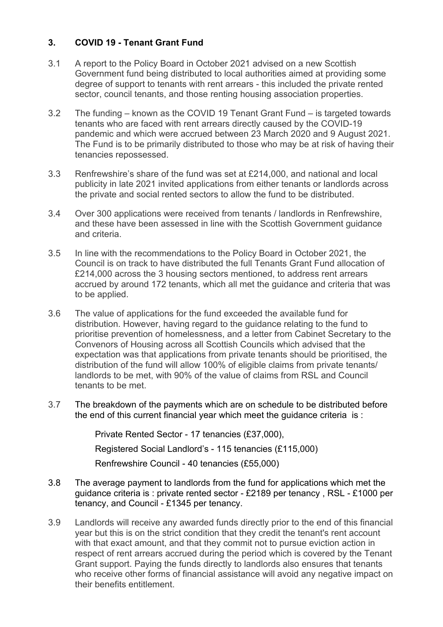# **3. COVID 19 - Tenant Grant Fund**

- 3.1 A report to the Policy Board in October 2021 advised on a new Scottish Government fund being distributed to local authorities aimed at providing some degree of support to tenants with rent arrears - this included the private rented sector, council tenants, and those renting housing association properties.
- 3.2 The funding known as the COVID 19 Tenant Grant Fund is targeted towards tenants who are faced with rent arrears directly caused by the COVID-19 pandemic and which were accrued between 23 March 2020 and 9 August 2021. The Fund is to be primarily distributed to those who may be at risk of having their tenancies repossessed.
- 3.3 Renfrewshire's share of the fund was set at £214,000, and national and local publicity in late 2021 invited applications from either tenants or landlords across the private and social rented sectors to allow the fund to be distributed.
- 3.4 Over 300 applications were received from tenants / landlords in Renfrewshire, and these have been assessed in line with the Scottish Government guidance and criteria.
- 3.5 In line with the recommendations to the Policy Board in October 2021, the Council is on track to have distributed the full Tenants Grant Fund allocation of £214,000 across the 3 housing sectors mentioned, to address rent arrears accrued by around 172 tenants, which all met the guidance and criteria that was to be applied.
- 3.6 The value of applications for the fund exceeded the available fund for distribution. However, having regard to the guidance relating to the fund to prioritise prevention of homelessness, and a letter from Cabinet Secretary to the Convenors of Housing across all Scottish Councils which advised that the expectation was that applications from private tenants should be prioritised, the distribution of the fund will allow 100% of eligible claims from private tenants/ landlords to be met, with 90% of the value of claims from RSL and Council tenants to be met.
- 3.7 The breakdown of the payments which are on schedule to be distributed before the end of this current financial year which meet the guidance criteria is :

Private Rented Sector - 17 tenancies (£37,000),

Registered Social Landlord's - 115 tenancies (£115,000)

Renfrewshire Council - 40 tenancies (£55,000)

- 3.8 The average payment to landlords from the fund for applications which met the guidance criteria is : private rented sector - £2189 per tenancy , RSL - £1000 per tenancy, and Council - £1345 per tenancy.
- 3.9 Landlords will receive any awarded funds directly prior to the end of this financial year but this is on the strict condition that they credit the tenant's rent account with that exact amount, and that they commit not to pursue eviction action in respect of rent arrears accrued during the period which is covered by the Tenant Grant support. Paying the funds directly to landlords also ensures that tenants who receive other forms of financial assistance will avoid any negative impact on their benefits entitlement.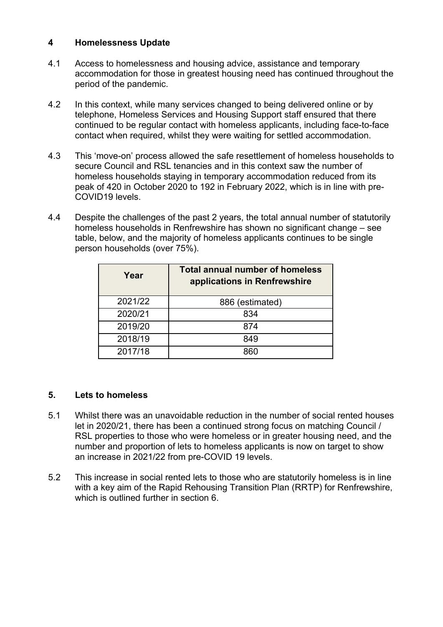## **4 Homelessness Update**

- 4.1 Access to homelessness and housing advice, assistance and temporary accommodation for those in greatest housing need has continued throughout the period of the pandemic.
- 4.2 In this context, while many services changed to being delivered online or by telephone, Homeless Services and Housing Support staff ensured that there continued to be regular contact with homeless applicants, including face-to-face contact when required, whilst they were waiting for settled accommodation.
- 4.3 This 'move-on' process allowed the safe resettlement of homeless households to secure Council and RSL tenancies and in this context saw the number of homeless households staying in temporary accommodation reduced from its peak of 420 in October 2020 to 192 in February 2022, which is in line with pre-COVID19 levels.
- 4.4 Despite the challenges of the past 2 years, the total annual number of statutorily homeless households in Renfrewshire has shown no significant change – see table, below, and the majority of homeless applicants continues to be single person households (over 75%).

| Year    | <b>Total annual number of homeless</b><br>applications in Renfrewshire |
|---------|------------------------------------------------------------------------|
| 2021/22 | 886 (estimated)                                                        |
| 2020/21 | 834                                                                    |
| 2019/20 | 874                                                                    |
| 2018/19 | 849                                                                    |
| 2017/18 | חמפ                                                                    |

#### **5. Lets to homeless**

- 5.1 Whilst there was an unavoidable reduction in the number of social rented houses let in 2020/21, there has been a continued strong focus on matching Council / RSL properties to those who were homeless or in greater housing need, and the number and proportion of lets to homeless applicants is now on target to show an increase in 2021/22 from pre-COVID 19 levels.
- 5.2 This increase in social rented lets to those who are statutorily homeless is in line with a key aim of the Rapid Rehousing Transition Plan (RRTP) for Renfrewshire, which is outlined further in section 6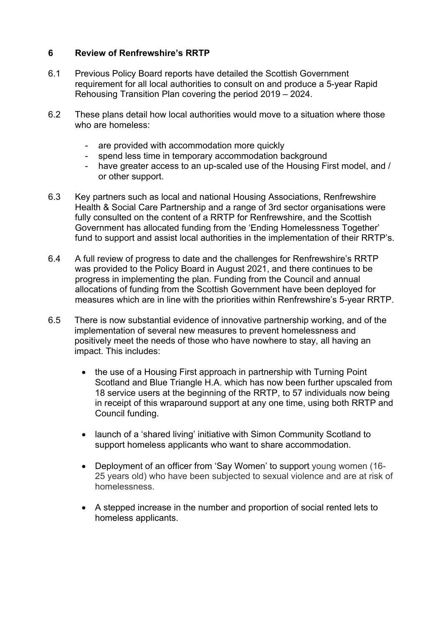## **6 Review of Renfrewshire's RRTP**

- 6.1 Previous Policy Board reports have detailed the Scottish Government requirement for all local authorities to consult on and produce a 5-year Rapid Rehousing Transition Plan covering the period 2019 – 2024.
- 6.2 These plans detail how local authorities would move to a situation where those who are homeless:
	- are provided with accommodation more quickly
	- spend less time in temporary accommodation background
	- have greater access to an up-scaled use of the Housing First model, and / or other support.
- 6.3 Key partners such as local and national Housing Associations, Renfrewshire Health & Social Care Partnership and a range of 3rd sector organisations were fully consulted on the content of a RRTP for Renfrewshire, and the Scottish Government has allocated funding from the 'Ending Homelessness Together' fund to support and assist local authorities in the implementation of their RRTP's.
- 6.4 A full review of progress to date and the challenges for Renfrewshire's RRTP was provided to the Policy Board in August 2021, and there continues to be progress in implementing the plan. Funding from the Council and annual allocations of funding from the Scottish Government have been deployed for measures which are in line with the priorities within Renfrewshire's 5-year RRTP.
- 6.5 There is now substantial evidence of innovative partnership working, and of the implementation of several new measures to prevent homelessness and positively meet the needs of those who have nowhere to stay, all having an impact. This includes:
	- the use of a Housing First approach in partnership with Turning Point Scotland and Blue Triangle H.A. which has now been further upscaled from 18 service users at the beginning of the RRTP, to 57 individuals now being in receipt of this wraparound support at any one time, using both RRTP and Council funding.
	- launch of a 'shared living' initiative with Simon Community Scotland to support homeless applicants who want to share accommodation.
	- Deployment of an officer from 'Say Women' to support young women (16- 25 years old) who have been subjected to sexual violence and are at risk of homelessness.
	- A stepped increase in the number and proportion of social rented lets to homeless applicants.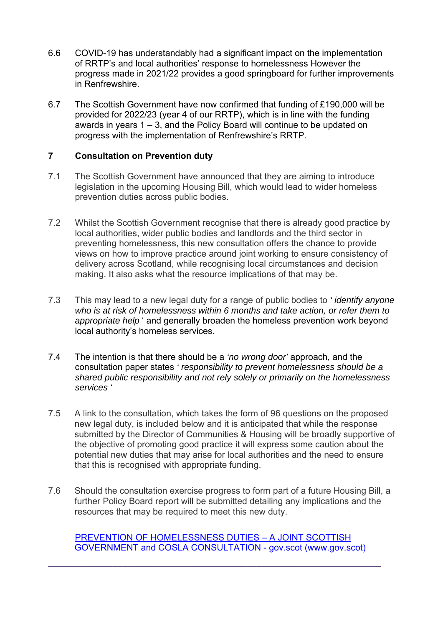- 6.6 COVID-19 has understandably had a significant impact on the implementation of RRTP's and local authorities' response to homelessness However the progress made in 2021/22 provides a good springboard for further improvements in Renfrewshire.
- 6.7 The Scottish Government have now confirmed that funding of £190,000 will be provided for 2022/23 (year 4 of our RRTP), which is in line with the funding awards in years 1 – 3, and the Policy Board will continue to be updated on progress with the implementation of Renfrewshire's RRTP.

# **7 Consultation on Prevention duty**

- 7.1 The Scottish Government have announced that they are aiming to introduce legislation in the upcoming Housing Bill, which would lead to wider homeless prevention duties across public bodies.
- 7.2 Whilst the Scottish Government recognise that there is already good practice by local authorities, wider public bodies and landlords and the third sector in preventing homelessness, this new consultation offers the chance to provide views on how to improve practice around joint working to ensure consistency of delivery across Scotland, while recognising local circumstances and decision making. It also asks what the resource implications of that may be.
- 7.3 This may lead to a new legal duty for a range of public bodies to *' identify anyone who is at risk of homelessness within 6 months and take action, or refer them to appropriate help* ' and generally broaden the homeless prevention work beyond local authority's homeless services.
- 7.4 The intention is that there should be a *'no wrong door'* approach, and the consultation paper states *' responsibility to prevent homelessness should be a shared public responsibility and not rely solely or primarily on the homelessness services '*
- 7.5 A link to the consultation, which takes the form of 96 questions on the proposed new legal duty, is included below and it is anticipated that while the response submitted by the Director of Communities & Housing will be broadly supportive of the objective of promoting good practice it will express some caution about the potential new duties that may arise for local authorities and the need to ensure that this is recognised with appropriate funding.
- 7.6 Should the consultation exercise progress to form part of a future Housing Bill, a further Policy Board report will be submitted detailing any implications and the resources that may be required to meet this new duty.

PREVENTION OF HOMELESSNESS DUTIES – A JOINT SCOTTISH GOVERNMENT and COSLA CONSULTATION - gov.scot (www.gov.scot)

**\_\_\_\_\_\_\_\_\_\_\_\_\_\_\_\_\_\_\_\_\_\_\_\_\_\_\_\_\_\_\_\_\_\_\_\_\_\_\_\_\_\_\_\_\_\_\_\_\_\_\_\_\_\_\_\_\_\_\_\_\_\_\_\_\_\_\_**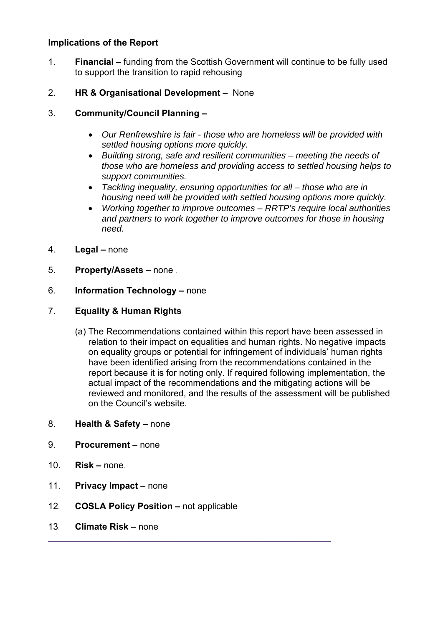# **Implications of the Report**

- 1. **Financial**  funding from the Scottish Government will continue to be fully used to support the transition to rapid rehousing
- 2. **HR & Organisational Development**  None

# 3. **Community/Council Planning –**

- *Our Renfrewshire is fair those who are homeless will be provided with settled housing options more quickly.*
- *Building strong, safe and resilient communities meeting the needs of those who are homeless and providing access to settled housing helps to support communities.*
- *Tackling inequality, ensuring opportunities for all those who are in housing need will be provided with settled housing options more quickly.*
- *Working together to improve outcomes RRTP's require local authorities and partners to work together to improve outcomes for those in housing need.*
- 4. **Legal** none
- 5. **Property/Assets** none *.*

## 6. **Information Technology –** none

## 7. **Equality & Human Rights**

- (a) The Recommendations contained within this report have been assessed in relation to their impact on equalities and human rights. No negative impacts on equality groups or potential for infringement of individuals' human rights have been identified arising from the recommendations contained in the report because it is for noting only. If required following implementation, the actual impact of the recommendations and the mitigating actions will be reviewed and monitored, and the results of the assessment will be published on the Council's website.
- 8. **Health & Safety** none
- 9. **Procurement** none
- 10. **Risk** none*.*
- 11. **Privacy Impact** none
- 12*.* **COSLA Policy Position** not applicable

 $\mathcal{L}_\mathcal{L}$  , and the contribution of the contribution of the contribution of the contribution of the contribution of the contribution of the contribution of the contribution of the contribution of the contribution of

13*.* **Climate Risk –** none